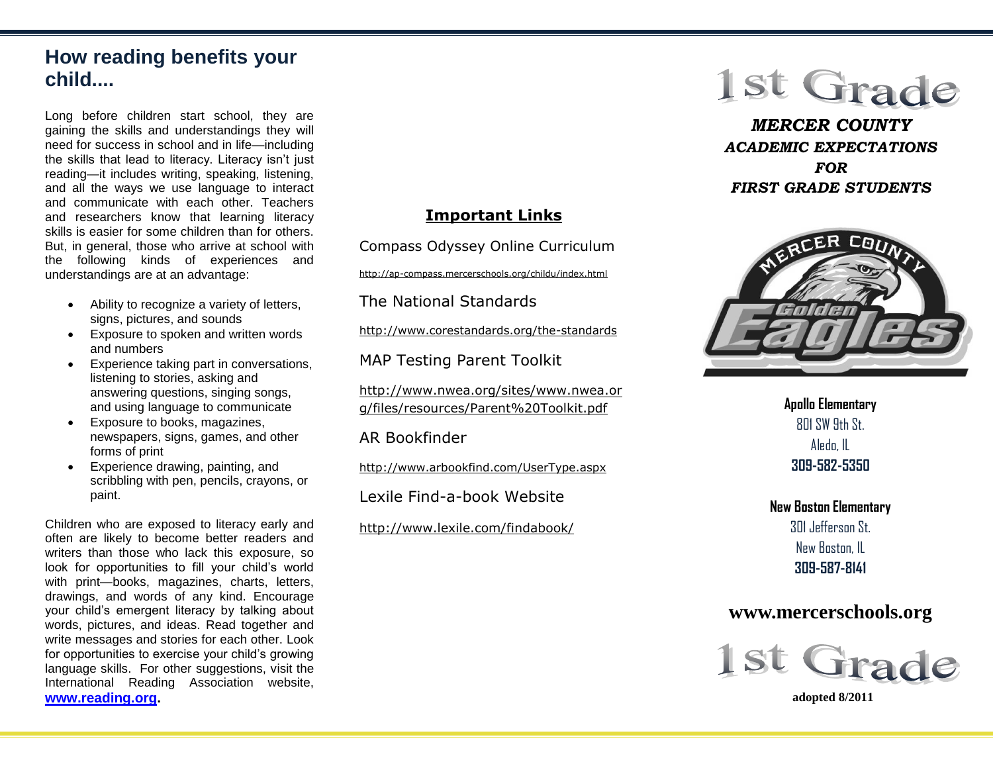# **How reading benefits your child....**

Long before children start school, they are gaining the skills and understandings they will need for success in school and in life—including the skills that lead to literacy. Literacy isn't just reading—it includes writing, speaking, listening, and all the ways we use language to interact and communicate with each other. Teachers and researchers know that learning literacy skills is easier for some children than for others. But, in general, those who arrive at school with the following kinds of experiences and understandings are at an advantage:

- Ability to recognize a variety of letters, signs, pictures, and sounds
- Exposure to spoken and written words and numbers
- Experience taking part in conversations, listening to stories, asking and answering questions, singing songs, and using language to communicate
- Exposure to books, magazines, newspapers, signs, games, and other forms of print
- Experience drawing, painting, and scribbling with pen, pencils, crayons, or paint.

Children who are exposed to literacy early and often are likely to become better readers and writers than those who lack this exposure, so look for opportunities to fill your child's world with print—books, magazines, charts, letters, drawings, and words of any kind. Encourage your child's emergent literacy by talking about words, pictures, and ideas. Read together and write messages and stories for each other. Look for opportunities to exercise your child's growing language skills. For other suggestions, visit the International Reading Association website, **[www.reading.org.](http://www.reading.org/)**

## **Important Links**

Compass Odyssey Online Curriculum

http://ap-compass.mercerschools.org/childu/index.html

The National Standards

http://www.corestandards.org/the-standards

MAP Testing Parent Toolkit

http://www.nwea.org/sites/www.nwea.or g/files/resources/Parent%20Toolkit.pdf

AR Bookfinder

http://www.arbookfind.com/UserType.aspx

Lexile Find-a-book Website

http://www.lexile.com/findabook/

# 1st Grade

*MERCER COUNTY ACADEMIC EXPECTATIONS FOR FIRST GRADE STUDENTS*



**Apollo Elementary**  $801$  SW 9th St. Aledo, IL **309-582-5350**

**New Boston Elementary** 301 Jefferson St. New Boston, IL **309-587-8141**

# **www.mercerschools.org**



 **adopted 8/2011**